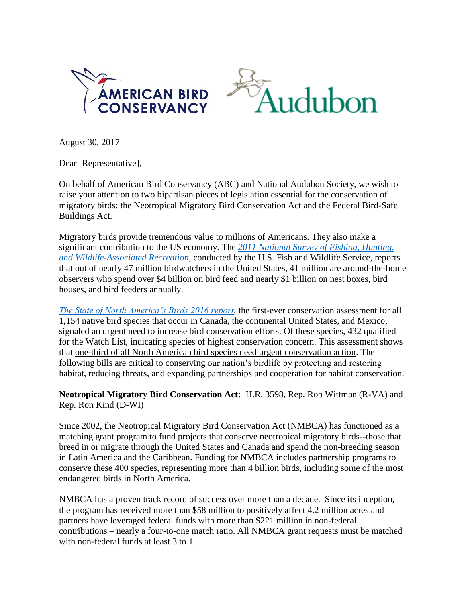



August 30, 2017

Dear [Representative],

On behalf of American Bird Conservancy (ABC) and National Audubon Society, we wish to raise your attention to two bipartisan pieces of legislation essential for the conservation of migratory birds: the Neotropical Migratory Bird Conservation Act and the Federal Bird-Safe Buildings Act.

Migratory birds provide tremendous value to millions of Americans. They also make a significant contribution to the US economy. The *[2011 National Survey of Fishing, Hunting,](http://www.census.gov/prod/2012pubs/fhw11-nat.pdf)  [and Wildlife-Associated Recreation](http://www.census.gov/prod/2012pubs/fhw11-nat.pdf)*, conducted by the U.S. Fish and Wildlife Service, reports that out of nearly 47 million birdwatchers in the United States, 41 million are around-the-home observers who spend over \$4 billion on bird feed and nearly \$1 billion on nest boxes, bird houses, and bird feeders annually.

*[The State of North America's Birds 2016 report](http://www.stateofthebirds.org/2016/)*, the first-ever conservation assessment for all 1,154 native bird species that occur in Canada, the continental United States, and Mexico, signaled an urgent need to increase bird conservation efforts. Of these species, 432 qualified for the Watch List, indicating species of highest conservation concern. This assessment shows that one-third of all North American bird species need urgent conservation action. The following bills are critical to conserving our nation's birdlife by protecting and restoring habitat, reducing threats, and expanding partnerships and cooperation for habitat conservation.

**Neotropical Migratory Bird Conservation Act:** H.R. 3598, Rep. Rob Wittman (R-VA) and Rep. Ron Kind (D-WI)

Since 2002, the Neotropical Migratory Bird Conservation Act (NMBCA) has functioned as a matching grant program to fund projects that conserve neotropical migratory birds--those that breed in or migrate through the United States and Canada and spend the non-breeding season in Latin America and the Caribbean. Funding for NMBCA includes partnership programs to conserve these 400 species, representing more than 4 billion birds, including some of the most endangered birds in North America.

NMBCA has a proven track record of success over more than a decade. Since its inception, the program has received more than \$58 million to positively affect 4.2 million acres and partners have leveraged federal funds with more than \$221 million in non-federal contributions – nearly a four-to-one match ratio. All NMBCA grant requests must be matched with non-federal funds at least 3 to 1.